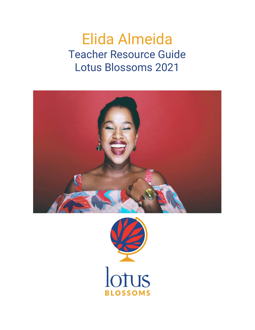# Elida Almeida Teacher Resource Guide Lotus Blossoms 2021



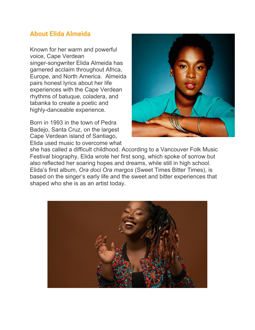## **About Elida Almeida**

Known for her warm and powerful voice, Cape Verdean singer-songwriter Elida Almeida has garnered acclaim throughout Africa, Europe, and North America. Almeida pairs honest lyrics about her life experiences with the Cape Verdean rhythms of batuque, coladera, and tabanka to create a poetic and highly-danceable experience.

Born in 1993 in the town of Pedra Badejo, Santa Cruz, on the largest Cape Verdean island of Santiago, Elida used music to overcome what



she has called a difficult childhood. According to a Vancouver Folk Music Festival biography, Elida wrote her first song, which spoke of sorrow but also reflected her soaring hopes and dreams, while still in high school. Elida's first album, *Ora doci Ora margos* (Sweet Times Bitter Times), is based on the singer's early life and the sweet and bitter experiences that shaped who she is as an artist today.

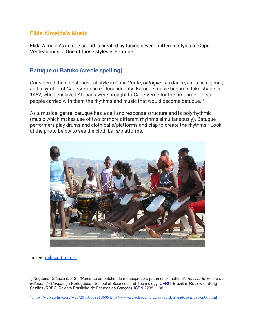### **Elida Almeida's Music**

Elida Almeida's unique sound is created by fusing several different styles of Cape Verdean music. One of those styles is Batuque.

## **Batuque or Batuko (creole spelling)**

Considered the oldest musical style in Cape Verde, *batuque* is a dance, a musical genre, and a symbol of Cape Verdean cultural identity. Batuque music began to take shape in 1462, when enslaved Africans were brought to Cape Verde for the first time. These people carried with them the rhythms and music that would become batuque. <sup>1</sup>

As a musical genre, batuque has a call and response structure and is polyrhythmic (music which makes use of two or more different rhythms simultaneously). Batuque performers play drums and cloth balls/platforms and clap to create the rhythms.<sup>2</sup> Look at the photo below to see the cloth balls/platforms.



Image: [deltacultura.org](https://www.deltacultura.org/pt-pt/o-que-fazemos/centro-de-educacao-tarrafal/batuco/)

<sup>1</sup> Nogueira, Gláucia (2012). "Percurso do batuku: do menosprezo a patrimônio imaterial". *Revista Brasileira de Estudos da Canção* (in Portuguese). School of Sciences and Technology, [UFRN](https://en.wikipedia.org/wiki/UFRN), Brazilian Review of Song Studies (RBEC, Revista Brasileira de Estudos da Canção). [ISSN](https://en.wikipedia.org/wiki/ISSN_(identifier)) [2238-1198](https://www.worldcat.org/issn/2238-1198).

<sup>2</sup> <https://web.archive.org/web/20110102210606/http://www.reisetraeume.de/kapverden/viadoso/mus1/en00.html>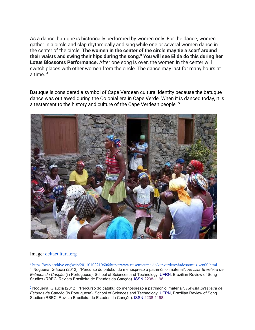As a dance, batuque is historically performed by women only. For the dance, women gather in a circle and clap rhythmically and sing while one or several women dance in the center of the circle. **The women in the center of the circle may tie a scarf around their waists and swing their hips during the song.<sup>3</sup> You will see Elida do this during her Lotus Blossoms Performance.** After one song is over, the women in the center will switch places with other women from the circle. The dance may last for many hours at a time.  $4$ 

Batuque is considered a symbol of Cape Verdean cultural identity because the batuque dance was outlawed during the Colonial era in Cape Verde. When it is danced today, it is a testament to the history and culture of the Cape Verdean people.<sup>5</sup>



#### Image: [deltacultura.org](https://www.deltacultura.org/pt-pt/o-que-fazemos/centro-de-educacao-tarrafal/batuco/)

<sup>3</sup> <https://web.archive.org/web/20110102210606/http://www.reisetraeume.de/kapverden/viadoso/mus1/en00.html>

<sup>4</sup> Nogueira, Gláucia (2012). "Percurso do batuku: do menosprezo a patrimônio imaterial". *Revista Brasileira de Estudos da Canção* (in Portuguese). School of Sciences and Technology, [UFRN](https://en.wikipedia.org/wiki/UFRN), Brazilian Review of Song Studies (RBEC, Revista Brasileira de Estudos da Canção). [ISSN](https://en.wikipedia.org/wiki/ISSN_(identifier)) [2238-1198](https://www.worldcat.org/issn/2238-1198).

<sup>5</sup> Nogueira, Gláucia (2012). "Percurso do batuku: do menosprezo a patrimônio imaterial". *Revista Brasileira de Estudos da Canção* (in Portuguese). School of Sciences and Technology, [UFRN](https://en.wikipedia.org/wiki/UFRN), Brazilian Review of Song Studies (RBEC, Revista Brasileira de Estudos da Canção). [ISSN](https://en.wikipedia.org/wiki/ISSN_(identifier)) [2238-1198](https://www.worldcat.org/issn/2238-1198).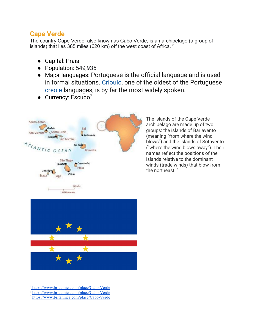## **Cape Verde**

The country Cape Verde, also known as Cabo Verde, is an archipelago (a group of islands) that lies 385 miles (620 km) off the west coast of Africa.  $6$ 

- Capital: Praia
- Population: 549,935
- Major languages: Portuguese is the official language and is used in formal situations. [Crioulo](https://www.britannica.com/topic/Crioulo-language), one of the oldest of the Portuguese [creole](https://www.britannica.com/topic/creole-languages) languages, is by far the most widely spoken.
- $\bullet$  Currency: Escudo<sup>7</sup>



The islands of the Cape Verde archipelago are made up of two groups: the islands of Barlavento (meaning "from where the wind blows") and the islands of Sotavento ("where the wind blows away"). Their names reflect the positions of the islands relative to the dominant winds (trade winds) that blow from the northeast. 8



<sup>6</sup> <https://www.britannica.com/place/Cabo-Verde>

<sup>7</sup> <https://www.britannica.com/place/Cabo-Verde>

<sup>8</sup> <https://www.britannica.com/place/Cabo-Verde>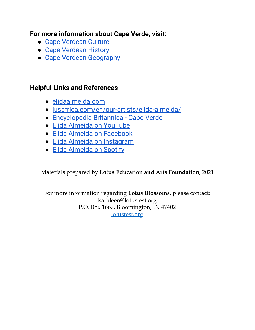## **For more information about Cape Verde, visit:**

- Cape [Verdean](https://www.britannica.com/place/Cabo-Verde#ref54905) Culture
- Cape [Verdean](https://www.britannica.com/place/Cabo-Verde/Cultural-life#ref281268) History
- Cape Verdean [Geography](https://www.britannica.com/place/Cabo-Verde/Cultural-life#ref281268)

# **Helpful Links and References**

- [elidaalmeida.com](https://www.elidaalmeida.com/)
- [lusafrica.com/en/our-artists/elida-almeida/](http://www.lusafrica.com/en/our-artists/elida-almeida/)
- [Encyclopedia](https://www.britannica.com/place/Cabo-Verde) Britannica Cape Verde
- Elida Almeida on [YouTube](https://www.youtube.com/channel/UCP9EmDXK3c8Ikn5UAAykrag)
- Elida Almeida on [Facebook](https://www.facebook.com/Elida.Almeida.Music/)
- Elida Almeida on [Instagram](https://www.instagram.com/elidaalmeida.cv/?hl=en)
- Elida [Almeida](https://open.spotify.com/artist/4QMgntJ821xE1UtdWtJWbd) on Spotify

Materials prepared by **Lotus Education and Arts Foundation**, 2021

For more information regarding **Lotus Blossoms**, please contact: kathleen@lotusfest.org P.O. Box 1667, Bloomington, IN 47402 [lotusfest.org](http://lotusfest.org/)